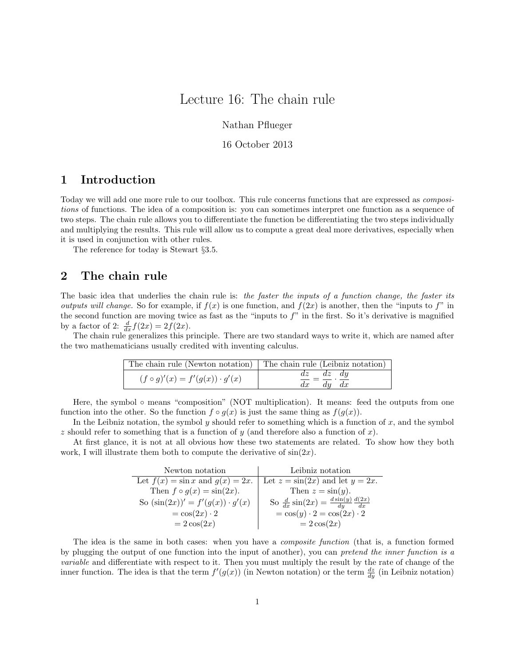# Lecture 16: The chain rule

Nathan Pflueger

16 October 2013

### 1 Introduction

Today we will add one more rule to our toolbox. This rule concerns functions that are expressed as compositions of functions. The idea of a composition is: you can sometimes interpret one function as a sequence of two steps. The chain rule allows you to differentiate the function be differentiating the two steps individually and multiplying the results. This rule will allow us to compute a great deal more derivatives, especially when it is used in conjunction with other rules.

The reference for today is Stewart §3.5.

#### 2 The chain rule

The basic idea that underlies the chain rule is: the faster the inputs of a function change, the faster its *outputs will change.* So for example, if  $f(x)$  is one function, and  $f(2x)$  is another, then the "inputs to f" in the second function are moving twice as fast as the "inputs to  $f$ " in the first. So it's derivative is magnified by a factor of 2:  $\frac{d}{dx}f(2x) = 2f(2x)$ .

The chain rule generalizes this principle. There are two standard ways to write it, which are named after the two mathematicians usually credited with inventing calculus.

| The chain rule (Newton notation) The chain rule (Leibniz notation) |                                    |
|--------------------------------------------------------------------|------------------------------------|
| $(f \circ g)'(x) = f'(g(x)) \cdot g'(x)$                           | $dz$ $dz$ $dy$<br>$dy \, dx$<br>dx |

Here, the symbol ◦ means "composition" (NOT multiplication). It means: feed the outputs from one function into the other. So the function  $f \circ g(x)$  is just the same thing as  $f(g(x))$ .

In the Leibniz notation, the symbol y should refer to something which is a function of  $x$ , and the symbol z should refer to something that is a function of  $y$  (and therefore also a function of  $x$ ).

At first glance, it is not at all obvious how these two statements are related. To show how they both work, I will illustrate them both to compute the derivative of  $sin(2x)$ .

| Newton notation                         | Leibniz notation                                                |  |
|-----------------------------------------|-----------------------------------------------------------------|--|
| Let $f(x) = \sin x$ and $g(x) = 2x$ .   | Let $z = \sin(2x)$ and let $y = 2x$ .                           |  |
| Then $f \circ g(x) = \sin(2x)$ .        | Then $z = \sin(y)$ .                                            |  |
| So $(\sin(2x))' = f'(g(x)) \cdot g'(x)$ | So $\frac{d}{dx}\sin(2x) = \frac{d\sin(y)}{dy}\frac{d(2x)}{dx}$ |  |
| $=\cos(2x)\cdot 2$                      | $=\cos(y)\cdot 2=\cos(2x)\cdot 2$                               |  |
| $=2\cos(2x)$                            | $=2\cos(2x)$                                                    |  |

The idea is the same in both cases: when you have a *composite function* (that is, a function formed by plugging the output of one function into the input of another), you can pretend the inner function is a variable and differentiate with respect to it. Then you must multiply the result by the rate of change of the inner function. The idea is that the term  $f'(g(x))$  (in Newton notation) or the term  $\frac{dz}{dy}$  (in Leibniz notation)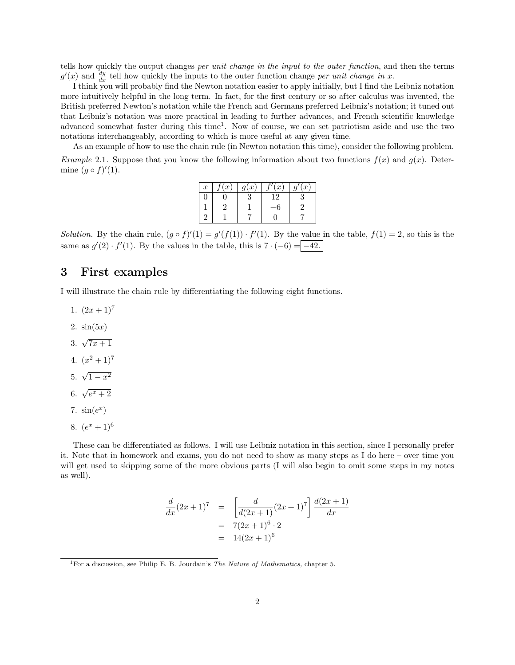tells how quickly the output changes per unit change in the input to the outer function, and then the terms  $g'(x)$  and  $\frac{dy}{dx}$  tell how quickly the inputs to the outer function change per unit change in x.

I think you will probably find the Newton notation easier to apply initially, but I find the Leibniz notation more intuitively helpful in the long term. In fact, for the first century or so after calculus was invented, the British preferred Newton's notation while the French and Germans preferred Leibniz's notation; it tuned out that Leibniz's notation was more practical in leading to further advances, and French scientific knowledge advanced somewhat faster during this time<sup>1</sup>. Now of course, we can set patriotism aside and use the two notations interchangeably, according to which is more useful at any given time.

As an example of how to use the chain rule (in Newton notation this time), consider the following problem. *Example* 2.1. Suppose that you know the following information about two functions  $f(x)$  and  $g(x)$ . Determine  $(g \circ f)'(1)$ .

| $\boldsymbol{x}$ | x) | q(x) | (x)             | '(x) |
|------------------|----|------|-----------------|------|
|                  |    |      | $\overline{12}$ |      |
|                  |    |      |                 |      |
|                  |    |      |                 |      |

Solution. By the chain rule,  $(g \circ f)'(1) = g'(f(1)) \cdot f'(1)$ . By the value in the table,  $f(1) = 2$ , so this is the same as  $g'(2) \cdot f'(1)$ . By the values in the table, this is  $7 \cdot (-6) = -42$ .

#### 3 First examples

I will illustrate the chain rule by differentiating the following eight functions.

- 1.  $(2x+1)^7$
- 2.  $sin(5x)$
- 3.  $\sqrt{7x+1}$
- 4.  $(x^2+1)^7$
- 5.  $\sqrt{1-x^2}$
- 6.  $\sqrt{e^x+2}$
- 7.  $sin(e^x)$
- 8.  $(e^x + 1)^6$

These can be differentiated as follows. I will use Leibniz notation in this section, since I personally prefer it. Note that in homework and exams, you do not need to show as many steps as I do here – over time you will get used to skipping some of the more obvious parts (I will also begin to omit some steps in my notes as well).

$$
\frac{d}{dx}(2x+1)^7 = \left[\frac{d}{d(2x+1)}(2x+1)^7\right] \frac{d(2x+1)}{dx}
$$

$$
= 7(2x+1)^6 \cdot 2
$$

$$
= 14(2x+1)^6
$$

<sup>1</sup>For a discussion, see Philip E. B. Jourdain's *The Nature of Mathematics*, chapter 5.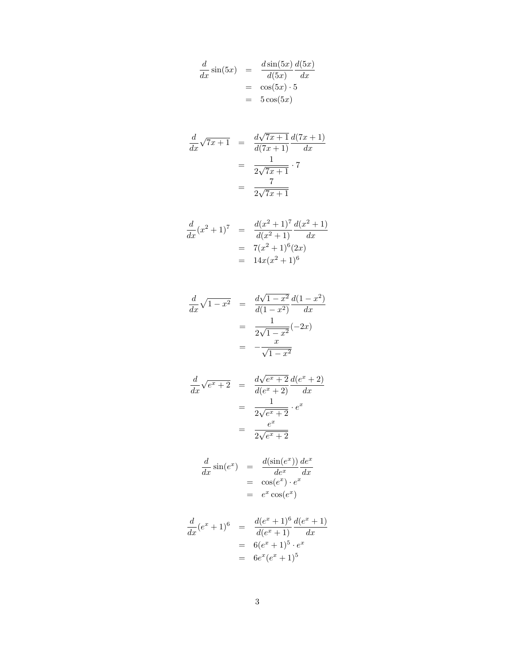$$
\frac{d}{dx}\sin(5x) = \frac{d\sin(5x)}{d(5x)}\frac{d(5x)}{dx}
$$

$$
= \cos(5x) \cdot 5
$$

$$
= 5\cos(5x)
$$

$$
\frac{d}{dx}\sqrt{7x+1} = \frac{d\sqrt{7x+1}}{d(7x+1)}\frac{d(7x+1)}{dx}
$$

$$
= \frac{1}{2\sqrt{7x+1}} \cdot 7
$$

$$
= \frac{7}{2\sqrt{7x+1}}
$$

$$
\frac{d}{dx}(x^2+1)^7 = \frac{d(x^2+1)^7}{d(x^2+1)}\frac{d(x^2+1)}{dx}
$$

$$
= 7(x^2+1)^6(2x)
$$

$$
= 14x(x^2+1)^6
$$

$$
\frac{d}{dx}\sqrt{1-x^2} = \frac{d\sqrt{1-x^2}}{d(1-x^2)}\frac{d(1-x^2)}{dx}
$$

$$
= \frac{1}{2\sqrt{1-x^2}}(-2x)
$$

$$
= -\frac{x}{\sqrt{1-x^2}}
$$

$$
\frac{d}{dx}\sqrt{e^x+2} = \frac{d\sqrt{e^x+2}}{d(e^x+2)}\frac{d(e^x+2)}{dx}
$$

$$
= \frac{1}{2\sqrt{e^x+2}} \cdot e^x
$$

$$
= \frac{e^x}{2\sqrt{e^x+2}}
$$

$$
\frac{d}{dx}\sin(e^x) = \frac{d(\sin(e^x))}{de^x}\frac{de^x}{dx}
$$

$$
= \cos(e^x) \cdot e^x
$$

$$
= e^x \cos(e^x)
$$

$$
\frac{d}{dx}(e^x + 1)^6 = \frac{d(e^x + 1)^6}{d(e^x + 1)} \frac{d(e^x + 1)}{dx}
$$

$$
= 6(e^x + 1)^5 \cdot e^x
$$

$$
= 6e^x(e^x + 1)^5
$$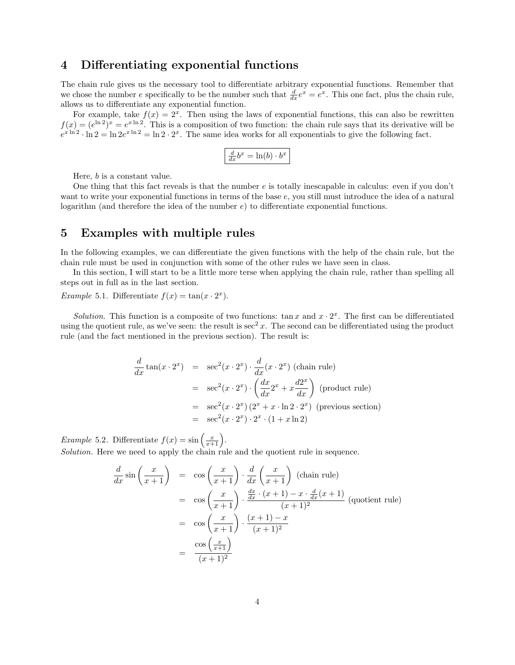#### 4 Differentiating exponential functions

The chain rule gives us the necessary tool to differentiate arbitrary exponential functions. Remember that we chose the number e specifically to be the number such that  $\frac{d}{dx}e^x = e^x$ . This one fact, plus the chain rule, allows us to differentiate any exponential function.

For example, take  $f(x) = 2^x$ . Then using the laws of exponential functions, this can also be rewritten  $f(x) = (e^{\ln 2})^x = e^{x \ln 2}$ . This is a composition of two function: the chain rule says that its derivative will be  $e^{x \ln 2} \cdot \ln 2 = \ln 2e^{x \ln 2} = \ln 2 \cdot 2^x$ . The same idea works for all exponentials to give the following fact.

$$
\frac{d}{dx}b^x = \ln(b) \cdot b^x
$$

Here, b is a constant value.

One thing that this fact reveals is that the number  $e$  is totally inescapable in calculus: even if you don't want to write your exponential functions in terms of the base e, you still must introduce the idea of a natural logarithm (and therefore the idea of the number  $e$ ) to differentiate exponential functions.

#### 5 Examples with multiple rules

In the following examples, we can differentiate the given functions with the help of the chain rule, but the chain rule must be used in conjunction with some of the other rules we have seen in class.

In this section, I will start to be a little more terse when applying the chain rule, rather than spelling all steps out in full as in the last section.

*Example* 5.1. Differentiate  $f(x) = \tan(x \cdot 2^x)$ .

Solution. This function is a composite of two functions:  $\tan x$  and  $x \cdot 2^x$ . The first can be differentiated using the quotient rule, as we've seen: the result is  $\sec^2 x$ . The second can be differentiated using the product rule (and the fact mentioned in the previous section). The result is:

$$
\frac{d}{dx} \tan(x \cdot 2^x) = \sec^2(x \cdot 2^x) \cdot \frac{d}{dx} (x \cdot 2^x) \text{ (chain rule)}
$$
\n
$$
= \sec^2(x \cdot 2^x) \cdot \left(\frac{dx}{dx} 2^x + x \frac{d2^x}{dx}\right) \text{ (product rule)}
$$
\n
$$
= \sec^2(x \cdot 2^x) (2^x + x \cdot \ln 2 \cdot 2^x) \text{ (previous section)}
$$
\n
$$
= \sec^2(x \cdot 2^x) \cdot 2^x \cdot (1 + x \ln 2)
$$

*Example* 5.2. Differentiate  $f(x) = \sin\left(\frac{x}{x+1}\right)$ .

Solution. Here we need to apply the chain rule and the quotient rule in sequence.

$$
\frac{d}{dx}\sin\left(\frac{x}{x+1}\right) = \cos\left(\frac{x}{x+1}\right) \cdot \frac{d}{dx}\left(\frac{x}{x+1}\right)
$$
 (chain rule)  
\n
$$
= \cos\left(\frac{x}{x+1}\right) \cdot \frac{\frac{dx}{dx} \cdot (x+1) - x \cdot \frac{d}{dx}(x+1)}{(x+1)^2}
$$
 (quotient rule)  
\n
$$
= \cos\left(\frac{x}{x+1}\right) \cdot \frac{(x+1) - x}{(x+1)^2}
$$
  
\n
$$
= \frac{\cos\left(\frac{x}{x+1}\right)}{(x+1)^2}
$$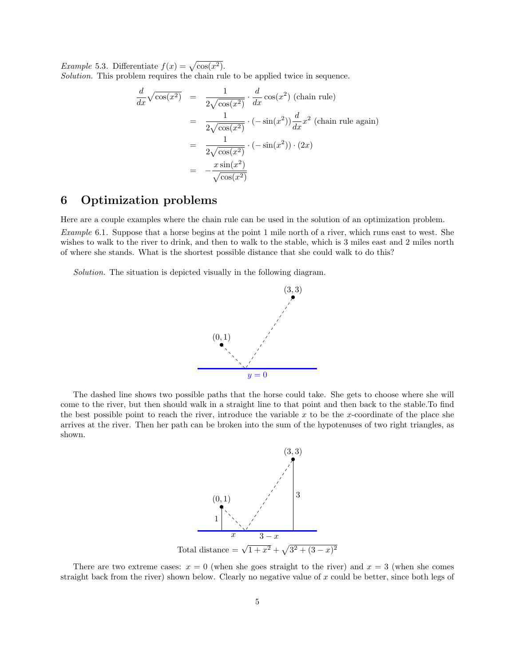*Example* 5.3. Differentiate  $f(x) = \sqrt{\cos(x^2)}$ .

Solution. This problem requires the chain rule to be applied twice in sequence.

$$
\frac{d}{dx}\sqrt{\cos(x^2)} = \frac{1}{2\sqrt{\cos(x^2)}} \cdot \frac{d}{dx}\cos(x^2) \text{ (chain rule)}
$$
\n
$$
= \frac{1}{2\sqrt{\cos(x^2)}} \cdot (-\sin(x^2))\frac{d}{dx}x^2 \text{ (chain rule again)}
$$
\n
$$
= \frac{1}{2\sqrt{\cos(x^2)}} \cdot (-\sin(x^2)) \cdot (2x)
$$
\n
$$
= -\frac{x\sin(x^2)}{\sqrt{\cos(x^2)}}
$$

## 6 Optimization problems

Here are a couple examples where the chain rule can be used in the solution of an optimization problem. Example 6.1. Suppose that a horse begins at the point 1 mile north of a river, which runs east to west. She wishes to walk to the river to drink, and then to walk to the stable, which is 3 miles east and 2 miles north

Solution. The situation is depicted visually in the following diagram.

of where she stands. What is the shortest possible distance that she could walk to do this?



The dashed line shows two possible paths that the horse could take. She gets to choose where she will come to the river, but then should walk in a straight line to that point and then back to the stable.To find the best possible point to reach the river, introduce the variable  $x$  to be the x-coordinate of the place she arrives at the river. Then her path can be broken into the sum of the hypotenuses of two right triangles, as shown.



There are two extreme cases:  $x = 0$  (when she goes straight to the river) and  $x = 3$  (when she comes straight back from the river) shown below. Clearly no negative value of  $x$  could be better, since both legs of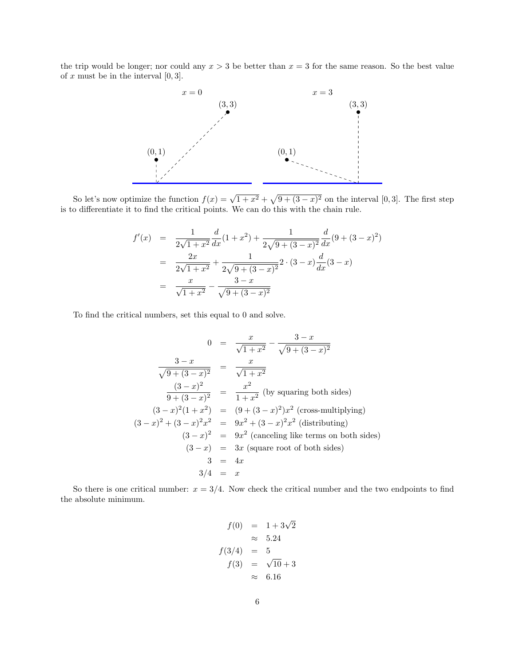the trip would be longer; nor could any  $x > 3$  be better than  $x = 3$  for the same reason. So the best value of  $x$  must be in the interval  $[0, 3]$ .



So let's now optimize the function  $f(x) = \sqrt{1+x^2} + \sqrt{9+(3-x)^2}$  on the interval [0,3]. The first step is to differentiate it to find the critical points. We can do this with the chain rule.

$$
f'(x) = \frac{1}{2\sqrt{1+x^2}} \frac{d}{dx} (1+x^2) + \frac{1}{2\sqrt{9+(3-x)^2}} \frac{d}{dx} (9+(3-x)^2)
$$
  
= 
$$
\frac{2x}{2\sqrt{1+x^2}} + \frac{1}{2\sqrt{9+(3-x)^2}} 2 \cdot (3-x) \frac{d}{dx} (3-x)
$$
  
= 
$$
\frac{x}{\sqrt{1+x^2}} - \frac{3-x}{\sqrt{9+(3-x)^2}}
$$

To find the critical numbers, set this equal to 0 and solve.

$$
0 = \frac{x}{\sqrt{1+x^2}} - \frac{3-x}{\sqrt{9+(3-x)^2}}
$$
  

$$
\frac{3-x}{\sqrt{9+(3-x)^2}} = \frac{x}{\sqrt{1+x^2}}
$$
  

$$
\frac{(3-x)^2}{9+(3-x)^2} = \frac{x^2}{1+x^2}
$$
 (by squaring both sides)  

$$
(3-x)^2(1+x^2) = (9+(3-x)^2)x^2
$$
 (cross-multiplying)  

$$
(3-x)^2 + (3-x)^2x^2 = 9x^2 + (3-x)^2x^2
$$
 (distributing)  

$$
(3-x)^2 = 9x^2
$$
 (canceling like terms on both sides)  

$$
(3-x) = 3x
$$
 (square root of both sides)  

$$
3 = 4x
$$
  

$$
3/4 = x
$$

So there is one critical number:  $x = 3/4$ . Now check the critical number and the two endpoints to find the absolute minimum.

$$
f(0) = 1 + 3\sqrt{2}
$$
  
\n
$$
\approx 5.24
$$
  
\n
$$
f(3/4) = 5
$$
  
\n
$$
f(3) = \sqrt{10} + 3
$$
  
\n
$$
\approx 6.16
$$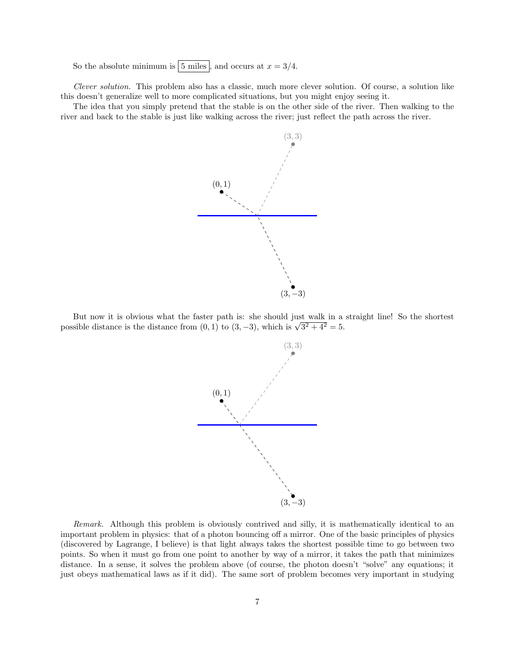So the absolute minimum is  $|5$  miles , and occurs at  $x = 3/4$ .

Clever solution. This problem also has a classic, much more clever solution. Of course, a solution like this doesn't generalize well to more complicated situations, but you might enjoy seeing it.

The idea that you simply pretend that the stable is on the other side of the river. Then walking to the river and back to the stable is just like walking across the river; just reflect the path across the river.



But now it is obvious what the faster path is: she should just walk in a straight line! So the shortest But now it is obvious what the faster path is: she should just walk in a possible distance is the distance from  $(0,1)$  to  $(3,-3)$ , which is  $\sqrt{3^2 + 4^2} = 5$ .



Remark. Although this problem is obviously contrived and silly, it is mathematically identical to an important problem in physics: that of a photon bouncing off a mirror. One of the basic principles of physics (discovered by Lagrange, I believe) is that light always takes the shortest possible time to go between two points. So when it must go from one point to another by way of a mirror, it takes the path that minimizes distance. In a sense, it solves the problem above (of course, the photon doesn't "solve" any equations; it just obeys mathematical laws as if it did). The same sort of problem becomes very important in studying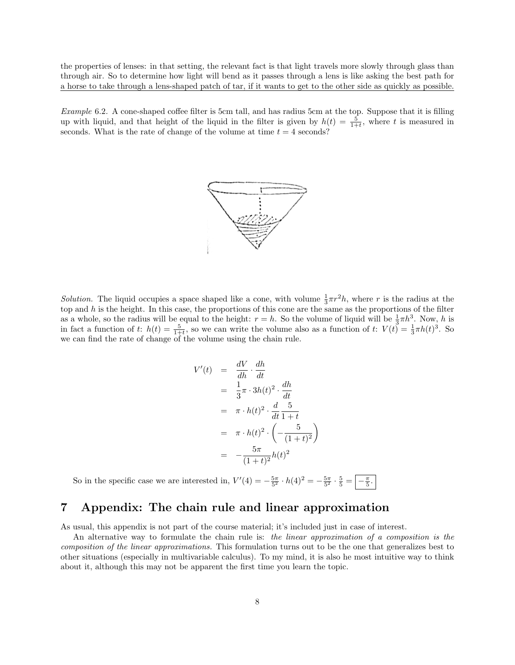the properties of lenses: in that setting, the relevant fact is that light travels more slowly through glass than through air. So to determine how light will bend as it passes through a lens is like asking the best path for a horse to take through a lens-shaped patch of tar, if it wants to get to the other side as quickly as possible.

Example 6.2. A cone-shaped coffee filter is 5cm tall, and has radius 5cm at the top. Suppose that it is filling up with liquid, and that height of the liquid in the filter is given by  $h(t) = \frac{5}{1+t}$ , where t is measured in seconds. What is the rate of change of the volume at time  $t = 4$  seconds?



Solution. The liquid occupies a space shaped like a cone, with volume  $\frac{1}{3}\pi r^2 h$ , where r is the radius at the top and  $h$  is the height. In this case, the proportions of this cone are the same as the proportions of the filter as a whole, so the radius will be equal to the height:  $r = h$ . So the volume of liquid will be  $\frac{1}{3}\pi h^3$ . Now, h is in fact a function of t:  $h(t) = \frac{5}{1+t}$ , so we can write the volume also as a function of t:  $V(t) = \frac{1}{3}\pi h(t)^3$ . So we can find the rate of change of the volume using the chain rule.

$$
V'(t) = \frac{dV}{dh} \cdot \frac{dh}{dt}
$$
  
\n
$$
= \frac{1}{3}\pi \cdot 3h(t)^2 \cdot \frac{dh}{dt}
$$
  
\n
$$
= \pi \cdot h(t)^2 \cdot \frac{d}{dt} \frac{5}{1+t}
$$
  
\n
$$
= \pi \cdot h(t)^2 \cdot \left(-\frac{5}{(1+t)^2}\right)
$$
  
\n
$$
= -\frac{5\pi}{(1+t)^2}h(t)^2
$$

So in the specific case we are interested in,  $V'(4) = -\frac{5\pi}{5^2} \cdot h(4)^2 = -\frac{5\pi}{5^2} \cdot \frac{5}{5} = -\frac{\pi}{5}$ .

## 7 Appendix: The chain rule and linear approximation

As usual, this appendix is not part of the course material; it's included just in case of interest.

An alternative way to formulate the chain rule is: the linear approximation of a composition is the composition of the linear approximations. This formulation turns out to be the one that generalizes best to other situations (especially in multivariable calculus). To my mind, it is also he most intuitive way to think about it, although this may not be apparent the first time you learn the topic.